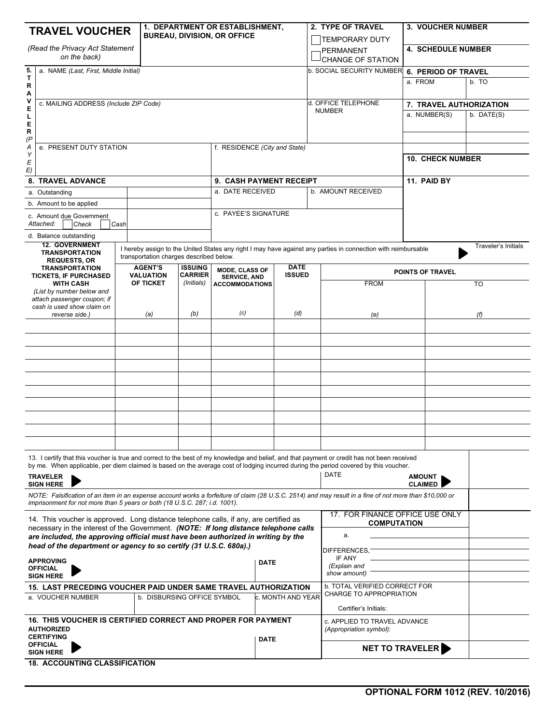| <b>TRAVEL VOUCHER</b>                                                                                                                                                                                    |                                                                                       |  |                                                      | 1. DEPARTMENT OR ESTABLISHMENT, |                                              |                   |                              |                                       | 2. TYPE OF TRAVEL                                                                                                                                                                                                                                                                    | <b>3. VOUCHER NUMBER</b> |                     |
|----------------------------------------------------------------------------------------------------------------------------------------------------------------------------------------------------------|---------------------------------------------------------------------------------------|--|------------------------------------------------------|---------------------------------|----------------------------------------------|-------------------|------------------------------|---------------------------------------|--------------------------------------------------------------------------------------------------------------------------------------------------------------------------------------------------------------------------------------------------------------------------------------|--------------------------|---------------------|
| <b>BUREAU, DIVISION, OR OFFICE</b>                                                                                                                                                                       |                                                                                       |  |                                                      |                                 |                                              |                   |                              | <b>TEMPORARY DUTY</b>                 |                                                                                                                                                                                                                                                                                      |                          |                     |
| (Read the Privacy Act Statement<br>on the back)                                                                                                                                                          |                                                                                       |  |                                                      |                                 |                                              |                   |                              | PERMANENT<br><b>CHANGE OF STATION</b> | <b>4. SCHEDULE NUMBER</b>                                                                                                                                                                                                                                                            |                          |                     |
| 5.<br>a. NAME (Last, First, Middle Initial)                                                                                                                                                              |                                                                                       |  |                                                      |                                 |                                              |                   |                              | <b>b. SOCIAL SECURITY NUMBER</b>      | <b>6. PERIOD OF TRAVEL</b>                                                                                                                                                                                                                                                           |                          |                     |
| T<br>R<br>Α                                                                                                                                                                                              |                                                                                       |  |                                                      |                                 |                                              |                   |                              |                                       |                                                                                                                                                                                                                                                                                      | a. FROM                  | b. TO               |
| V<br>Е                                                                                                                                                                                                   | c. MAILING ADDRESS (Include ZIP Code)                                                 |  |                                                      |                                 |                                              |                   |                              |                                       | d. OFFICE TELEPHONE                                                                                                                                                                                                                                                                  | 7. TRAVEL AUTHORIZATION  |                     |
| L<br>E<br>R<br>(P)                                                                                                                                                                                       |                                                                                       |  |                                                      |                                 |                                              |                   |                              |                                       | <b>NUMBER</b>                                                                                                                                                                                                                                                                        | a. NUMBER(S)             | b. DATE(S)          |
| Α<br>Y<br>E                                                                                                                                                                                              | e. PRESENT DUTY STATION                                                               |  |                                                      | f. RESIDENCE (City and State)   |                                              |                   |                              |                                       | <b>10. CHECK NUMBER</b>                                                                                                                                                                                                                                                              |                          |                     |
| E)                                                                                                                                                                                                       | <b>8. TRAVEL ADVANCE</b>                                                              |  |                                                      |                                 | <b>9. CASH PAYMENT RECEIPT</b>               |                   |                              |                                       |                                                                                                                                                                                                                                                                                      | 11. PAID BY              |                     |
|                                                                                                                                                                                                          | a. Outstanding                                                                        |  |                                                      |                                 | a. DATE RECEIVED                             |                   |                              |                                       | b. AMOUNT RECEIVED                                                                                                                                                                                                                                                                   |                          |                     |
|                                                                                                                                                                                                          | b. Amount to be applied                                                               |  |                                                      |                                 |                                              |                   |                              |                                       |                                                                                                                                                                                                                                                                                      |                          |                     |
|                                                                                                                                                                                                          |                                                                                       |  |                                                      |                                 | c. PAYEE'S SIGNATURE                         |                   |                              |                                       |                                                                                                                                                                                                                                                                                      |                          |                     |
| c. Amount due Government<br>Attached:<br>Cash<br>Check                                                                                                                                                   |                                                                                       |  |                                                      |                                 |                                              |                   |                              |                                       |                                                                                                                                                                                                                                                                                      |                          |                     |
|                                                                                                                                                                                                          | d. Balance outstanding<br><b>12. GOVERNMENT</b>                                       |  |                                                      |                                 |                                              |                   |                              |                                       |                                                                                                                                                                                                                                                                                      |                          | Traveler's Initials |
| I hereby assign to the United States any right I may have against any parties in connection with reimbursable<br><b>TRANSPORTATION</b><br>transportation charges described below.<br><b>REQUESTS, OR</b> |                                                                                       |  |                                                      |                                 |                                              |                   |                              |                                       |                                                                                                                                                                                                                                                                                      |                          |                     |
| <b>TRANSPORTATION</b><br><b>TICKETS, IF PURCHASED</b>                                                                                                                                                    |                                                                                       |  | <b>ISSUING</b><br><b>AGENT'S</b><br><b>VALUATION</b> |                                 | <b>MODE. CLASS OF</b><br><b>SERVICE, AND</b> |                   | <b>DATE</b><br><b>ISSUED</b> |                                       | POINTS OF TRAVEL                                                                                                                                                                                                                                                                     |                          |                     |
|                                                                                                                                                                                                          | <b>WITH CASH</b>                                                                      |  | OF TICKET                                            | <b>CARRIER</b><br>(Initials)    | <b>ACCOMMODATIONS</b>                        |                   |                              |                                       | <b>FROM</b>                                                                                                                                                                                                                                                                          |                          | <b>TO</b>           |
|                                                                                                                                                                                                          | (List by number below and<br>attach passenger coupon; if                              |  |                                                      |                                 |                                              |                   |                              |                                       |                                                                                                                                                                                                                                                                                      |                          |                     |
|                                                                                                                                                                                                          | cash is used show claim on                                                            |  |                                                      | (b)                             |                                              |                   |                              |                                       |                                                                                                                                                                                                                                                                                      |                          |                     |
| reverse side.)                                                                                                                                                                                           |                                                                                       |  | (a)                                                  |                                 | (c)                                          |                   | (d)                          |                                       | (e)                                                                                                                                                                                                                                                                                  |                          | (f)                 |
|                                                                                                                                                                                                          |                                                                                       |  |                                                      |                                 |                                              |                   |                              |                                       |                                                                                                                                                                                                                                                                                      |                          |                     |
|                                                                                                                                                                                                          |                                                                                       |  |                                                      |                                 |                                              |                   |                              |                                       |                                                                                                                                                                                                                                                                                      |                          |                     |
|                                                                                                                                                                                                          |                                                                                       |  |                                                      |                                 |                                              |                   |                              |                                       |                                                                                                                                                                                                                                                                                      |                          |                     |
|                                                                                                                                                                                                          |                                                                                       |  |                                                      |                                 |                                              |                   |                              |                                       |                                                                                                                                                                                                                                                                                      |                          |                     |
|                                                                                                                                                                                                          |                                                                                       |  |                                                      |                                 |                                              |                   |                              |                                       |                                                                                                                                                                                                                                                                                      |                          |                     |
|                                                                                                                                                                                                          |                                                                                       |  |                                                      |                                 |                                              |                   |                              |                                       |                                                                                                                                                                                                                                                                                      |                          |                     |
|                                                                                                                                                                                                          |                                                                                       |  |                                                      |                                 |                                              |                   |                              |                                       |                                                                                                                                                                                                                                                                                      |                          |                     |
|                                                                                                                                                                                                          |                                                                                       |  |                                                      |                                 |                                              |                   |                              |                                       |                                                                                                                                                                                                                                                                                      |                          |                     |
|                                                                                                                                                                                                          |                                                                                       |  |                                                      |                                 |                                              |                   |                              |                                       |                                                                                                                                                                                                                                                                                      |                          |                     |
|                                                                                                                                                                                                          |                                                                                       |  |                                                      |                                 |                                              |                   |                              |                                       |                                                                                                                                                                                                                                                                                      |                          |                     |
|                                                                                                                                                                                                          |                                                                                       |  |                                                      |                                 |                                              |                   |                              |                                       |                                                                                                                                                                                                                                                                                      |                          |                     |
|                                                                                                                                                                                                          |                                                                                       |  |                                                      |                                 |                                              |                   |                              |                                       | 13. I certify that this voucher is true and correct to the best of my knowledge and belief, and that payment or credit has not been received<br>by me. When applicable, per diem claimed is based on the average cost of lodging incurred during the period covered by this voucher. |                          |                     |
|                                                                                                                                                                                                          | <b>TRAVELER</b>                                                                       |  |                                                      |                                 |                                              |                   |                              |                                       | <b>DATE</b>                                                                                                                                                                                                                                                                          | AMOUNT                   |                     |
| <b>SIGN HERE</b>                                                                                                                                                                                         |                                                                                       |  |                                                      |                                 |                                              |                   |                              | <b>CLAIMED</b>                        |                                                                                                                                                                                                                                                                                      |                          |                     |
|                                                                                                                                                                                                          | imprisonment for not more than 5 years or both (18 U.S.C. 287; i.d. 1001).            |  |                                                      |                                 |                                              |                   |                              |                                       | NOTE: Falsification of an item in an expense account works a forfeiture of claim (28 U.S.C. 2514) and may result in a fine of not more than \$10,000 or                                                                                                                              |                          |                     |
|                                                                                                                                                                                                          | 14. This voucher is approved. Long distance telephone calls, if any, are certified as |  |                                                      |                                 |                                              |                   |                              |                                       | 17. FOR FINANCE OFFICE USE ONLY<br><b>COMPUTATION</b>                                                                                                                                                                                                                                |                          |                     |
| necessary in the interest of the Government. (NOTE: If long distance telephone calls<br>are included, the approving official must have been authorized in writing by the                                 |                                                                                       |  |                                                      |                                 |                                              |                   |                              | a.                                    |                                                                                                                                                                                                                                                                                      |                          |                     |
|                                                                                                                                                                                                          | head of the department or agency to so certify (31 U.S.C. 680a).)                     |  |                                                      |                                 |                                              |                   |                              |                                       | DIFFERENCES,                                                                                                                                                                                                                                                                         |                          |                     |
| <b>APPROVING</b>                                                                                                                                                                                         |                                                                                       |  |                                                      |                                 | <b>DATE</b>                                  |                   |                              |                                       | IF ANY<br>(Explain and                                                                                                                                                                                                                                                               |                          |                     |
| <b>OFFICIAL</b><br><b>SIGN HERE</b>                                                                                                                                                                      |                                                                                       |  |                                                      |                                 |                                              |                   |                              | show amount)                          |                                                                                                                                                                                                                                                                                      |                          |                     |
| 15. LAST PRECEDING VOUCHER PAID UNDER SAME TRAVEL AUTHORIZATION                                                                                                                                          |                                                                                       |  |                                                      |                                 |                                              |                   |                              |                                       | <b>b. TOTAL VERIFIED CORRECT FOR</b>                                                                                                                                                                                                                                                 |                          |                     |
| a. VOUCHER NUMBER<br>b. DISBURSING OFFICE SYMBOL                                                                                                                                                         |                                                                                       |  |                                                      |                                 |                                              | c. MONTH AND YEAR |                              |                                       | CHARGE TO APPROPRIATION                                                                                                                                                                                                                                                              |                          |                     |
|                                                                                                                                                                                                          |                                                                                       |  |                                                      |                                 |                                              |                   |                              |                                       | Certifier's Initials:                                                                                                                                                                                                                                                                |                          |                     |
| 16. THIS VOUCHER IS CERTIFIED CORRECT AND PROPER FOR PAYMENT<br><b>AUTHORIZED</b>                                                                                                                        |                                                                                       |  |                                                      |                                 |                                              |                   |                              |                                       | c. APPLIED TO TRAVEL ADVANCE<br>(Appropriation symbol):                                                                                                                                                                                                                              |                          |                     |
|                                                                                                                                                                                                          | <b>CERTIFYING</b>                                                                     |  |                                                      |                                 | <b>DATE</b>                                  |                   |                              |                                       |                                                                                                                                                                                                                                                                                      |                          |                     |
|                                                                                                                                                                                                          | <b>OFFICIAL</b><br><b>SIGN HERE</b>                                                   |  |                                                      |                                 |                                              |                   |                              |                                       |                                                                                                                                                                                                                                                                                      | NET TO TRAVELER          |                     |
|                                                                                                                                                                                                          | <b>18. ACCOUNTING CLASSIFICATION</b>                                                  |  |                                                      |                                 |                                              |                   |                              |                                       |                                                                                                                                                                                                                                                                                      |                          |                     |